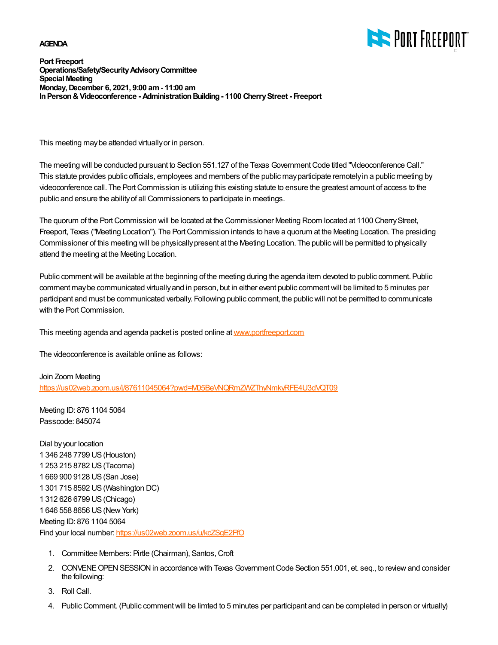#### **AGENDA**



**Port Freeport Operations/Safety/Security Advisory Committee Special Meeting Monday, December 6, 2021, 9:00 am - 11:00 am In Person & Videoconference - Administration Building - 1100 Cherry Street - Freeport**

This meeting may be attended virtually or in person.

The meeting will be conducted pursuant to Section 551.127 of the Texas Government Code titled "Videoconference Call." This statute provides public officials, employees and members of the public may participate remotely in a public meeting by videoconference call. The Port Commission is utilizing this existing statute to ensure the greatest amount of access to the public and ensure the ability of all Commissioners to participate in meetings.

The quorum of the Port Commission will be located at the Commissioner Meeting Room located at 1100 Cherry Street, Freeport, Texas ("Meeting Location"). The Port Commission intends to have a quorum at the Meeting Location. The presiding Commissioner of this meeting will be physically present at the Meeting Location. The public will be permitted to physically attend the meeting at the Meeting Location.

Public comment will be available at the beginning of the meeting during the agenda item devoted to public comment. Public comment may be communicated virtually and in person, but in either event public comment will be limited to 5 minutes per participant and must be communicated verbally. Following public comment, the public will not be permitted to communicate with the Port Commission.

This meeting agenda and agenda packet is posted online at [www.portfreeport.com](http://www.portfreeport.com)

The videoconference is available online as follows:

Join Zoom Meeting <https://us02web.zoom.us/j/87611045064?pwd=M05BeVNQRmZWZThyNmkyRFE4U3dVQT09>

Meeting ID: 876 1104 5064 Passcode: 845074

Dial by your location 1 346 248 7799 US (Houston) 1 253 215 8782 US (Tacoma) 1 669 900 9128 US (San Jose) 1 301 715 8592 US (Washington DC) 1 312 626 6799 US (Chicago) 1 646 558 8656 US (New York) Meeting ID: 876 1104 5064 Find your local number:<https://us02web.zoom.us/u/kcZSgE2FfO>

- 1. Committee Members: Pirtle (Chairman), Santos, Croft
- 2. CONVENE OPEN SESSION in accordance with Texas Government Code Section 551.001, et. seq., to review and consider the following:
- 3. Roll Call.
- 4. Public Comment. (Public comment will be limted to 5 minutes per participant and can be completed in person or virtually)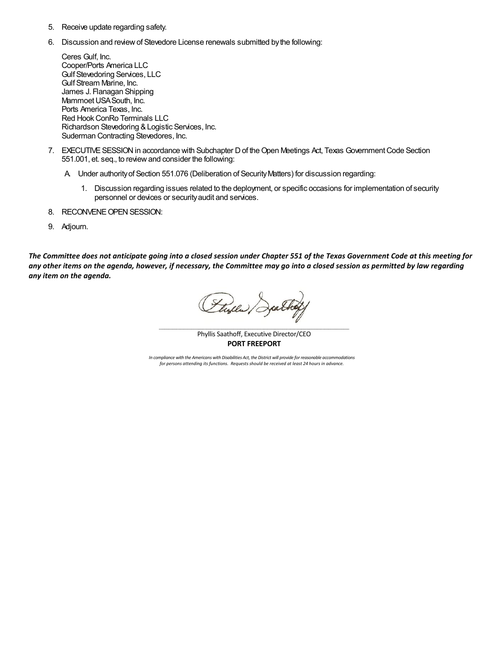- 5. Receive update regarding safety.
- 6. Discussion and review of Stevedore License renewals submitted by the following:

Ceres Gulf, Inc. Cooper/Ports America LLC Gulf Stevedoring Services, LLC Gulf Stream Marine, Inc. James J. Flanagan Shipping Mammoet USA South, Inc. Ports America Texas, Inc. Red Hook ConRo Terminals LLC Richardson Stevedoring & Logistic Services, Inc. Suderman Contracting Stevedores, Inc.

- EXECUTIVE SESSION in accordance with Subchapter D of the Open Meetings Act, Texas Government Code Section 7. 551.001, et. seq., to review and consider the following:
	- A. Under authority of Section 551.076 (Deliberation of Security Matters) for discussion regarding:
		- 1. Discussion regarding issues related to the deployment, or specific occasions for implementation of security personnel or devices or security audit and services.
- 8. RECONVENE OPEN SESSION:
- 9. Adjourn.

*The Committee does not anticipate going into a closed session under Chapter 551 of the Texas Government Code at this meeting for any other items on the agenda, however, if necessary, the Committee may go into a closed session as permitted by law regarding any item on the agenda.* 

Flyer Jatha

Phyllis Saathoff, Executive Director/CEO **PORT FREEPORT**

*In compliance with the Americans with Disabilities Act, the District will provide for reasonable accommodations for persons attending its functions. Requests should be received at least 24 hours in advance.*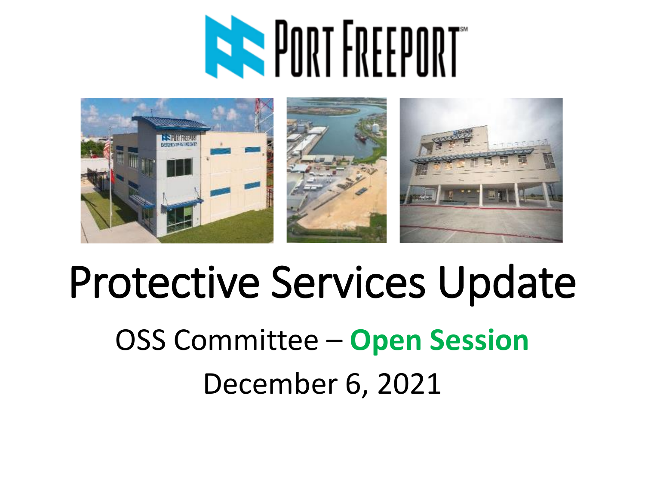# **RASPORT FREEPORT**



### Protective Services Update OSS Committee – **Open Session** December 6, 2021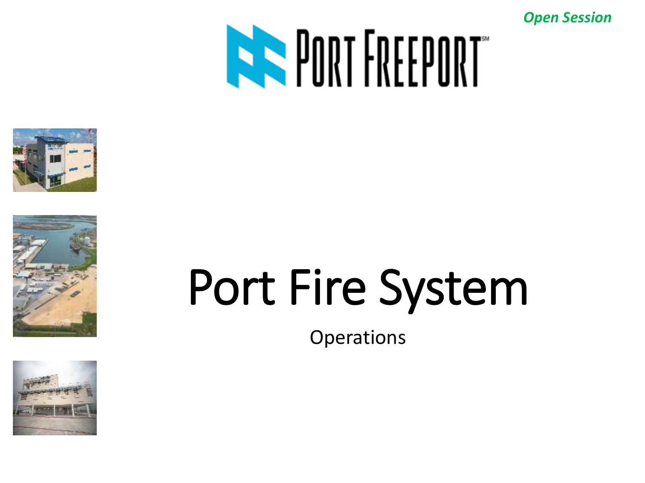







## Port Fire System

**Operations**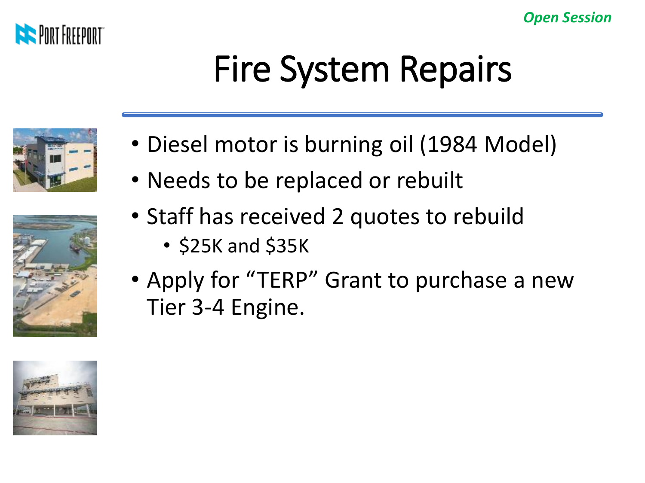

### Fire System Repairs





- Diesel motor is burning oil (1984 Model)
- Needs to be replaced or rebuilt
- Staff has received 2 quotes to rebuild
	- \$25K and \$35K
- Apply for "TERP" Grant to purchase a new Tier 3-4 Engine.

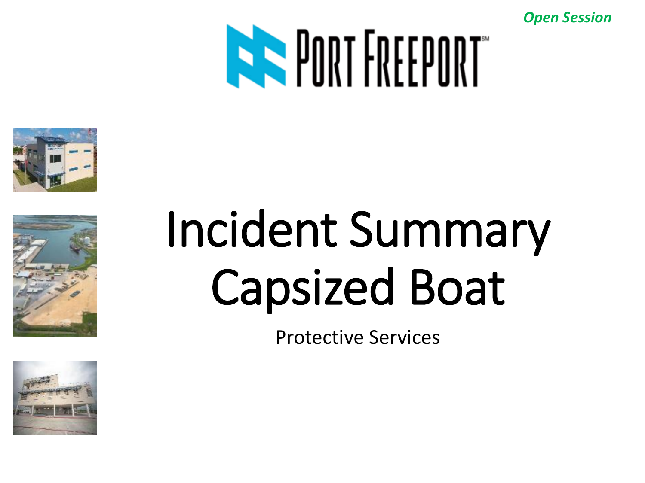





### Incident Summary Capsized Boat

Protective Services

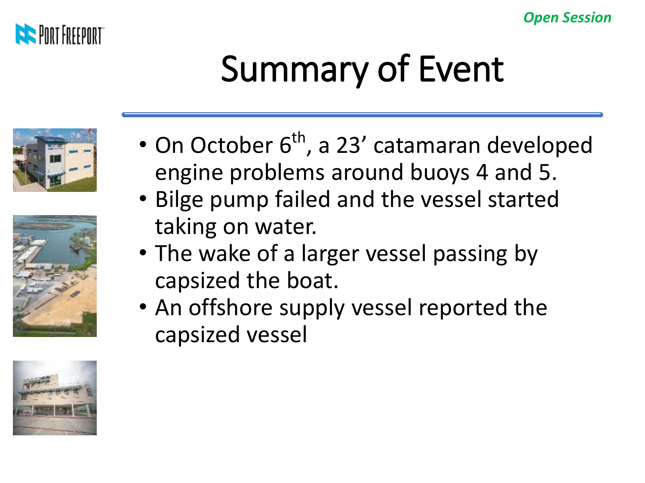

### Summary of Event







- On October  $6<sup>th</sup>$ , a 23' catamaran developed engine problems around buoys 4 and 5.
- Bilge pump failed and the vessel started taking on water.
- The wake of a larger vessel passing by capsized the boat.
- An offshore supply vessel reported the capsized vessel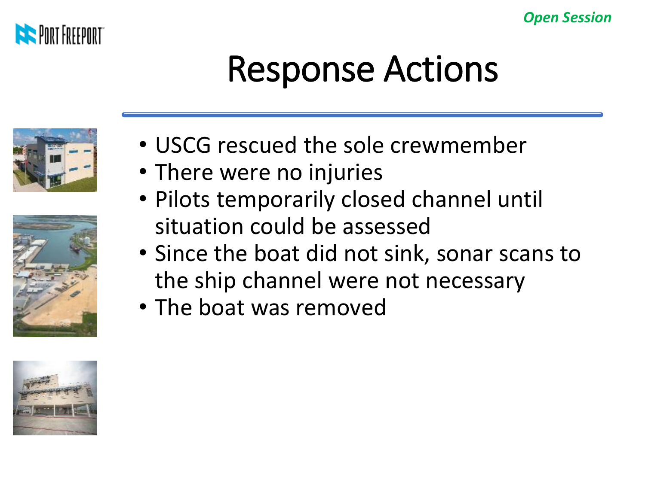

### Response Actions







- USCG rescued the sole crewmember
- There were no injuries
- Pilots temporarily closed channel until situation could be assessed
- Since the boat did not sink, sonar scans to the ship channel were not necessary
- The boat was removed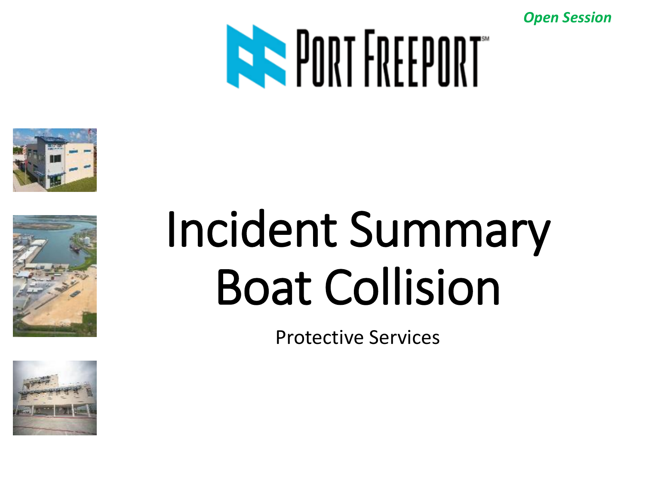







## Incident Summary Boat Collision

Protective Services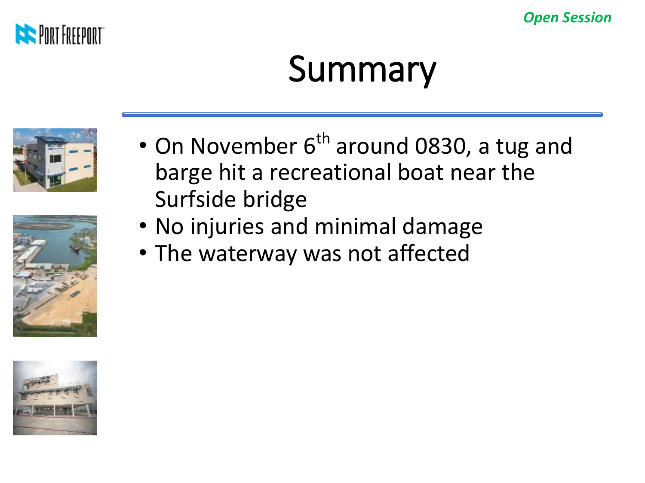

### Summary





- On November 6<sup>th</sup> around 0830, a tug and barge hit a recreational boat near the Surfside bridge
- No injuries and minimal damage
- The waterway was not affected

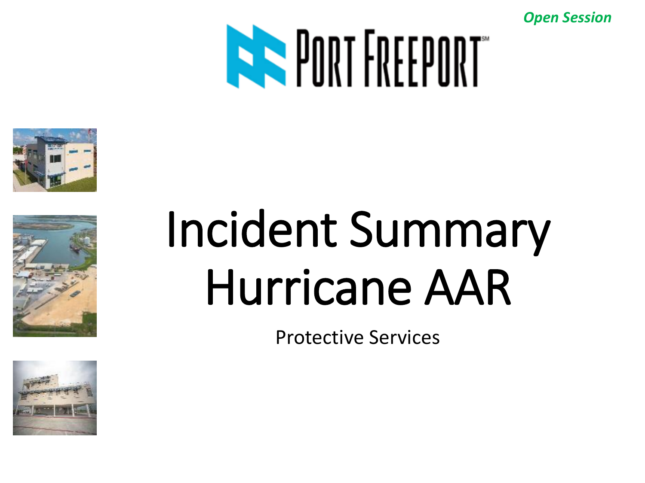







## Incident Summary Hurricane AAR

Protective Services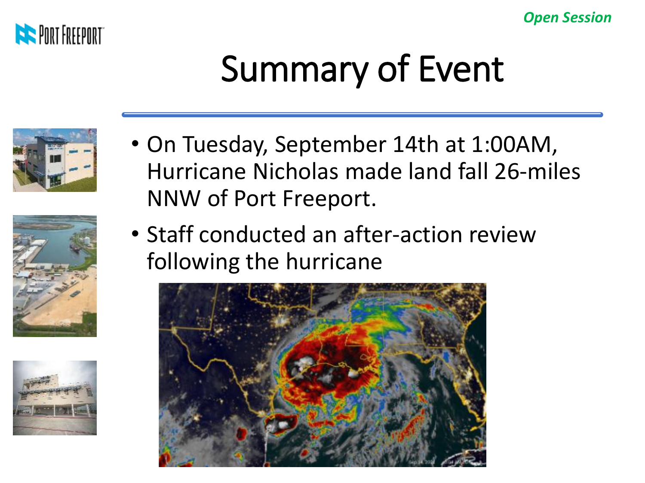

### Summary of Event







- On Tuesday, September 14th at 1:00AM, Hurricane Nicholas made land fall 26-miles NNW of Port Freeport.
- Staff conducted an after-action review following the hurricane

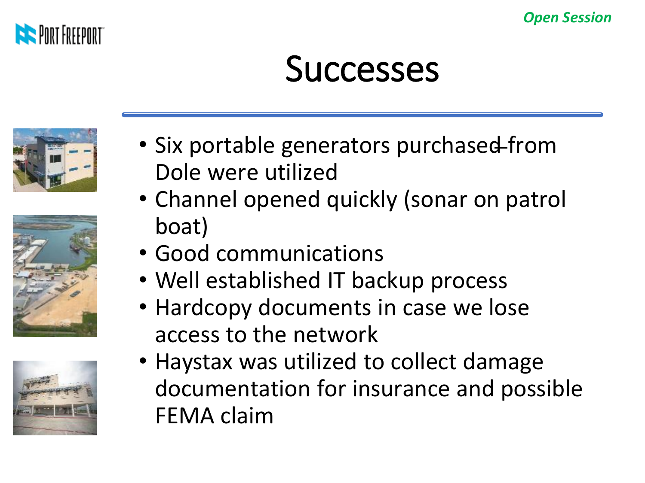

#### **Successes**







- Six portable generators purchased from Dole were utilized
- Channel opened quickly (sonar on patrol boat)
- Good communications
- Well established IT backup process
- Hardcopy documents in case we lose access to the network
- Haystax was utilized to collect damage documentation for insurance and possible FEMA claim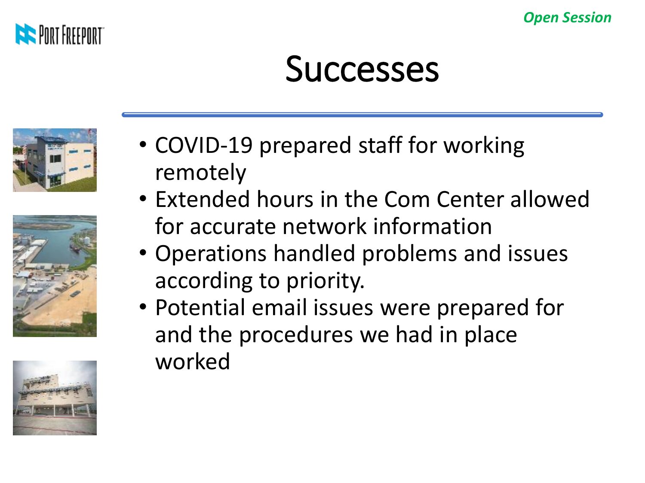



#### **Successes**







- COVID-19 prepared staff for working remotely
- Extended hours in the Com Center allowed for accurate network information
- Operations handled problems and issues according to priority.
- Potential email issues were prepared for and the procedures we had in place worked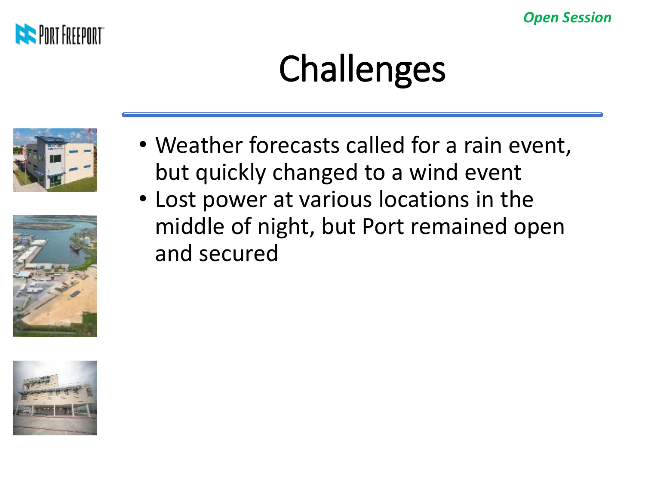

### **Challenges**







• Lost power at various locations in the middle of night, but Port remained open and secured

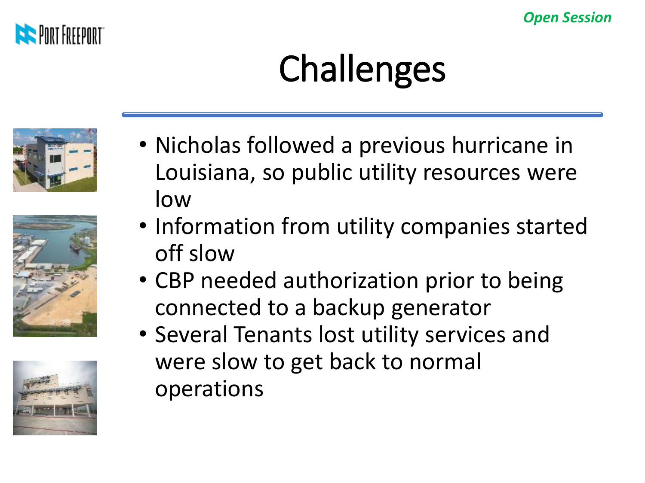

### Challenges







- Nicholas followed a previous hurricane in Louisiana, so public utility resources were low
- Information from utility companies started off slow
- CBP needed authorization prior to being connected to a backup generator
- Several Tenants lost utility services and were slow to get back to normal operations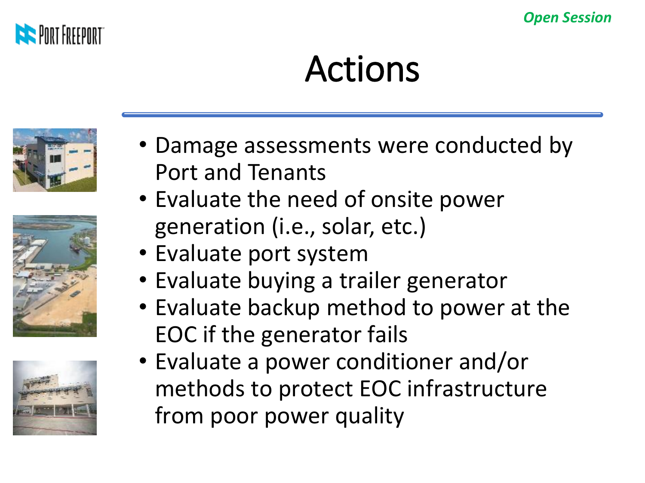

### Actions







- Damage assessments were conducted by Port and Tenants
- Evaluate the need of onsite power generation (i.e., solar, etc.)
- Evaluate port system
- Evaluate buying a trailer generator
- Evaluate backup method to power at the EOC if the generator fails
- Evaluate a power conditioner and/or methods to protect EOC infrastructure from poor power quality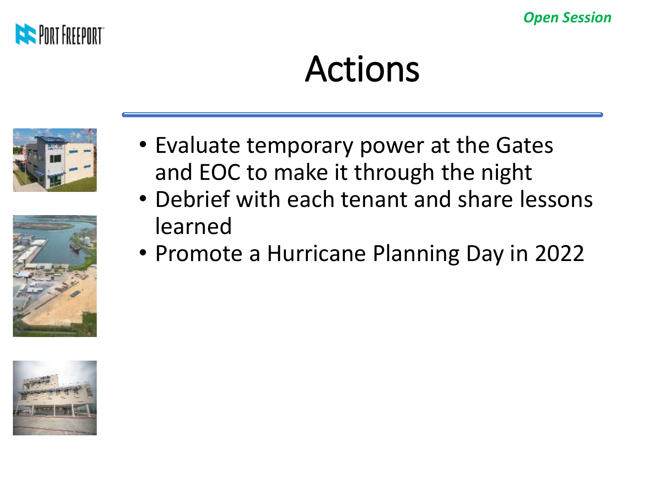

### Actions





- Evaluate temporary power at the Gates and EOC to make it through the night
- Debrief with each tenant and share lessons learned
- Promote a Hurricane Planning Day in 2022

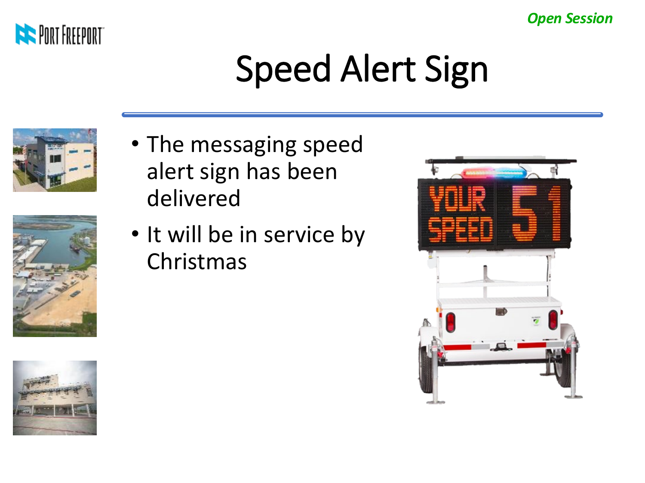

### Speed Alert Sign







• It will be in service by Christmas